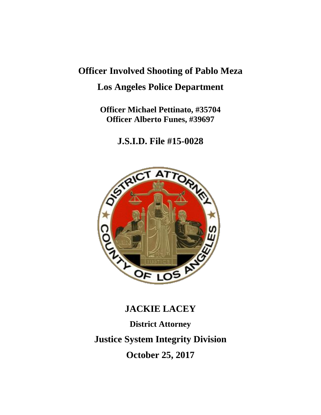## **Officer Involved Shooting of Pablo Meza Los Angeles Police Department**

**Officer Michael Pettinato, #35704 Officer Alberto Funes, #39697**

**J.S.I.D. File #15-0028**



# **JACKIE LACEY District Attorney Justice System Integrity Division October 25, 2017**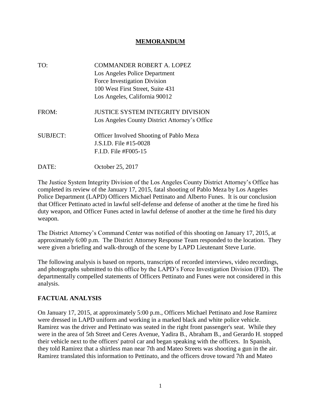#### **MEMORANDUM**

| TO:             | <b>COMMANDER ROBERT A. LOPEZ</b><br>Los Angeles Police Department<br>Force Investigation Division<br>100 West First Street, Suite 431<br>Los Angeles, California 90012 |
|-----------------|------------------------------------------------------------------------------------------------------------------------------------------------------------------------|
| FROM:           | JUSTICE SYSTEM INTEGRITY DIVISION<br>Los Angeles County District Attorney's Office                                                                                     |
| <b>SUBJECT:</b> | <b>Officer Involved Shooting of Pablo Meza</b><br>J.S.I.D. File #15-0028<br>F.I.D. File #F005-15                                                                       |
| DATE:           | October 25, 2017                                                                                                                                                       |

The Justice System Integrity Division of the Los Angeles County District Attorney's Office has completed its review of the January 17, 2015, fatal shooting of Pablo Meza by Los Angeles Police Department (LAPD) Officers Michael Pettinato and Alberto Funes. It is our conclusion that Officer Pettinato acted in lawful self-defense and defense of another at the time he fired his duty weapon, and Officer Funes acted in lawful defense of another at the time he fired his duty weapon.

The District Attorney's Command Center was notified of this shooting on January 17, 2015, at approximately 6:00 p.m. The District Attorney Response Team responded to the location. They were given a briefing and walk-through of the scene by LAPD Lieutenant Steve Lurie.

The following analysis is based on reports, transcripts of recorded interviews, video recordings, and photographs submitted to this office by the LAPD's Force Investigation Division (FID). The departmentally compelled statements of Officers Pettinato and Funes were not considered in this analysis.

#### **FACTUAL ANALYSIS**

On January 17, 2015, at approximately 5:00 p.m., Officers Michael Pettinato and Jose Ramirez were dressed in LAPD uniform and working in a marked black and white police vehicle. Ramirez was the driver and Pettinato was seated in the right front passenger's seat. While they were in the area of 5th Street and Ceres Avenue, Yadira B., Abraham B., and Gerardo H. stopped their vehicle next to the officers' patrol car and began speaking with the officers. In Spanish, they told Ramirez that a shirtless man near 7th and Mateo Streets was shooting a gun in the air. Ramirez translated this information to Pettinato, and the officers drove toward 7th and Mateo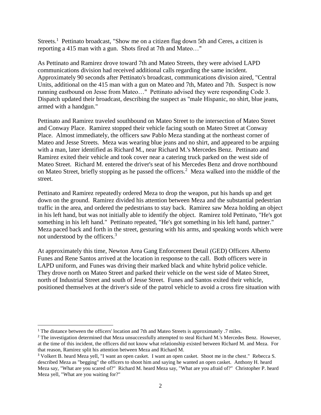Streets.<sup>1</sup> Pettinato broadcast, "Show me on a citizen flag down 5th and Ceres, a citizen is reporting a 415 man with a gun. Shots fired at 7th and Mateo…"

As Pettinato and Ramirez drove toward 7th and Mateo Streets, they were advised LAPD communications division had received additional calls regarding the same incident. Approximately 90 seconds after Pettinato's broadcast, communications division aired, "Central Units, additional on the 415 man with a gun on Mateo and 7th, Mateo and 7th. Suspect is now running eastbound on Jesse from Mateo…" Pettinato advised they were responding Code 3. Dispatch updated their broadcast, describing the suspect as "male Hispanic, no shirt, blue jeans, armed with a handgun."

Pettinato and Ramirez traveled southbound on Mateo Street to the intersection of Mateo Street and Conway Place. Ramirez stopped their vehicle facing south on Mateo Street at Conway Place. Almost immediately, the officers saw Pablo Meza standing at the northeast corner of Mateo and Jesse Streets. Meza was wearing blue jeans and no shirt, and appeared to be arguing with a man, later identified as Richard M., near Richard M.'s Mercedes Benz. Pettinato and Ramirez exited their vehicle and took cover near a catering truck parked on the west side of Mateo Street. Richard M. entered the driver's seat of his Mercedes Benz and drove northbound on Mateo Street, briefly stopping as he passed the officers. 2 Meza walked into the middle of the street.

Pettinato and Ramirez repeatedly ordered Meza to drop the weapon, put his hands up and get down on the ground. Ramirez divided his attention between Meza and the substantial pedestrian traffic in the area, and ordered the pedestrians to stay back. Ramirez saw Meza holding an object in his left hand, but was not initially able to identify the object. Ramirez told Pettinato, "He's got something in his left hand." Pettinato repeated, "He's got something in his left hand, partner." Meza paced back and forth in the street, gesturing with his arms, and speaking words which were not understood by the officers.<sup>3</sup>

At approximately this time, Newton Area Gang Enforcement Detail (GED) Officers Alberto Funes and Rene Santos arrived at the location in response to the call. Both officers were in LAPD uniform, and Funes was driving their marked black and white hybrid police vehicle. They drove north on Mateo Street and parked their vehicle on the west side of Mateo Street, north of Industrial Street and south of Jesse Street. Funes and Santos exited their vehicle, positioned themselves at the driver's side of the patrol vehicle to avoid a cross fire situation with

l

<sup>1</sup> The distance between the officers' location and 7th and Mateo Streets is approximately .7 miles.

<sup>&</sup>lt;sup>2</sup> The investigation determined that Meza unsuccessfully attempted to steal Richard M.'s Mercedes Benz. However, at the time of this incident, the officers did not know what relationship existed between Richard M. and Meza. For that reason, Ramirez split his attention between Meza and Richard M.

<sup>3</sup> Volkert B. heard Meza yell, "I want an open casket. I want an open casket. Shoot me in the chest." Rebecca S. described Meza as "begging" the officers to shoot him and saying he wanted an open casket. Anthony H. heard Meza say, "What are you scared of?" Richard M. heard Meza say, "What are you afraid of?" Christopher P. heard Meza yell, "What are you waiting for?"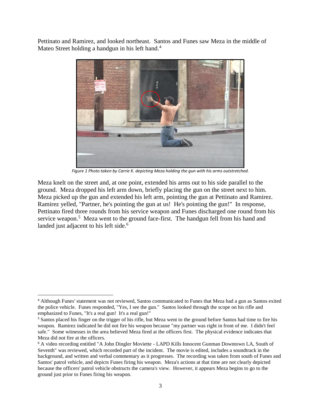Pettinato and Ramirez, and looked northeast. Santos and Funes saw Meza in the middle of Mateo Street holding a handgun in his left hand. $4$ 



*Figure 1 Photo taken by Carrie K. depicting Meza holding the gun with his arms outstretched.*

Meza knelt on the street and, at one point, extended his arms out to his side parallel to the ground. Meza dropped his left arm down, briefly placing the gun on the street next to him. Meza picked up the gun and extended his left arm, pointing the gun at Pettinato and Ramirez. Ramirez yelled, "Partner, he's pointing the gun at us! He's pointing the gun!" In response, Pettinato fired three rounds from his service weapon and Funes discharged one round from his service weapon.<sup>5</sup> Meza went to the ground face-first. The handgun fell from his hand and landed just adjacent to his left side.<sup>6</sup>

 $\overline{a}$ 

<sup>4</sup> Although Funes' statement was not reviewed, Santos communicated to Funes that Meza had a gun as Santos exited the police vehicle. Funes responded, "Yes, I see the gun." Santos looked through the scope on his rifle and emphasized to Funes, "It's a real gun! It's a real gun!"

<sup>&</sup>lt;sup>5</sup> Santos placed his finger on the trigger of his rifle, but Meza went to the ground before Santos had time to fire his weapon. Ramirez indicated he did not fire his weapon because "my partner was right in front of me. I didn't feel safe." Some witnesses in the area believed Meza fired at the officers first. The physical evidence indicates that Meza did not fire at the officers.

<sup>6</sup> A video recording entitled "A John Dingler Moviette - LAPD Kills Innocent Gunman Downtown LA, South of Seventh" was reviewed, which recorded part of the incident. The movie is edited, includes a soundtrack in the background, and written and verbal commentary as it progresses. The recording was taken from south of Funes and Santos' patrol vehicle, and depicts Funes firing his weapon. Meza's actions at that time are not clearly depicted because the officers' patrol vehicle obstructs the camera's view. However, it appears Meza begins to go to the ground just prior to Funes firing his weapon.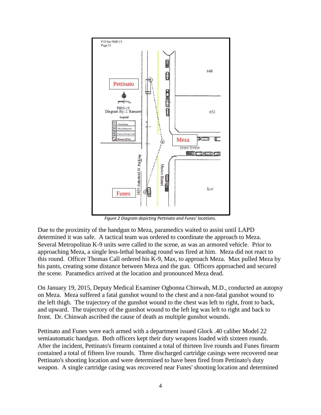

*Figure 2 Diagram depicting Pettinato and Funes' locations.*

Due to the proximity of the handgun to Meza, paramedics waited to assist until LAPD determined it was safe. A tactical team was ordered to coordinate the approach to Meza. Several Metropolitan K-9 units were called to the scene, as was an armored vehicle. Prior to approaching Meza, a single less-lethal beanbag round was fired at him. Meza did not react to this round. Officer Thomas Call ordered his K-9, Max, to approach Meza. Max pulled Meza by his pants, creating some distance between Meza and the gun. Officers approached and secured the scene. Paramedics arrived at the location and pronounced Meza dead.

On January 19, 2015, Deputy Medical Examiner Ogbonna Chinwah, M.D., conducted an autopsy on Meza. Meza suffered a fatal gunshot wound to the chest and a non-fatal gunshot wound to the left thigh. The trajectory of the gunshot wound to the chest was left to right, front to back, and upward. The trajectory of the gunshot wound to the left leg was left to right and back to front. Dr. Chinwah ascribed the cause of death as multiple gunshot wounds.

Pettinato and Funes were each armed with a department issued Glock .40 caliber Model 22 semiautomatic handgun. Both officers kept their duty weapons loaded with sixteen rounds. After the incident, Pettinato's firearm contained a total of thirteen live rounds and Funes firearm contained a total of fifteen live rounds. Three discharged cartridge casings were recovered near Pettinato's shooting location and were determined to have been fired from Pettinato's duty weapon. A single cartridge casing was recovered near Funes' shooting location and determined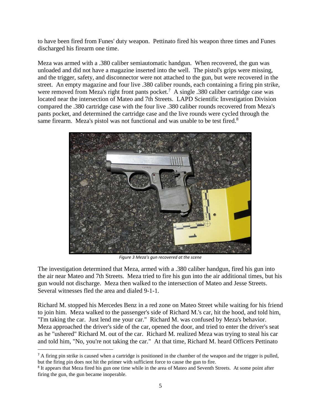to have been fired from Funes' duty weapon. Pettinato fired his weapon three times and Funes discharged his firearm one time.

Meza was armed with a .380 caliber semiautomatic handgun. When recovered, the gun was unloaded and did not have a magazine inserted into the well. The pistol's grips were missing, and the trigger, safety, and disconnector were not attached to the gun, but were recovered in the street. An empty magazine and four live .380 caliber rounds, each containing a firing pin strike, were removed from Meza's right front pants pocket.<sup>7</sup> A single .380 caliber cartridge case was located near the intersection of Mateo and 7th Streets. LAPD Scientific Investigation Division compared the .380 cartridge case with the four live .380 caliber rounds recovered from Meza's pants pocket, and determined the cartridge case and the live rounds were cycled through the same firearm. Meza's pistol was not functional and was unable to be test fired.<sup>8</sup>



*Figure 3 Meza's gun recovered at the scene*

The investigation determined that Meza, armed with a .380 caliber handgun, fired his gun into the air near Mateo and 7th Streets. Meza tried to fire his gun into the air additional times, but his gun would not discharge. Meza then walked to the intersection of Mateo and Jesse Streets. Several witnesses fled the area and dialed 9-1-1.

Richard M. stopped his Mercedes Benz in a red zone on Mateo Street while waiting for his friend to join him. Meza walked to the passenger's side of Richard M.'s car, hit the hood, and told him, "I'm taking the car. Just lend me your car." Richard M. was confused by Meza's behavior. Meza approached the driver's side of the car, opened the door, and tried to enter the driver's seat as he "ushered" Richard M. out of the car. Richard M. realized Meza was trying to steal his car and told him, "No, you're not taking the car." At that time, Richard M. heard Officers Pettinato

 $\overline{\phantom{a}}$ 

<sup>&</sup>lt;sup>7</sup> A firing pin strike is caused when a cartridge is positioned in the chamber of the weapon and the trigger is pulled, but the firing pin does not hit the primer with sufficient force to cause the gun to fire.

<sup>&</sup>lt;sup>8</sup> It appears that Meza fired his gun one time while in the area of Mateo and Seventh Streets. At some point after firing the gun, the gun became inoperable.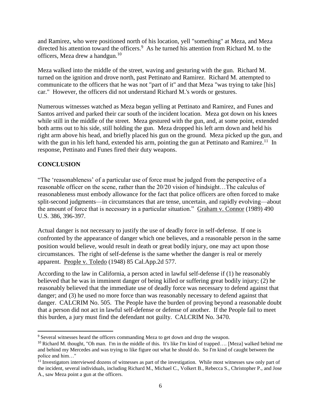and Ramirez, who were positioned north of his location, yell "something" at Meza, and Meza directed his attention toward the officers. $9$  As he turned his attention from Richard M. to the officers, Meza drew a handgun.<sup>10</sup>

Meza walked into the middle of the street, waving and gesturing with the gun. Richard M. turned on the ignition and drove north, past Pettinato and Ramirez. Richard M. attempted to communicate to the officers that he was not "part of it" and that Meza "was trying to take [his] car." However, the officers did not understand Richard M.'s words or gestures.

Numerous witnesses watched as Meza began yelling at Pettinato and Ramirez, and Funes and Santos arrived and parked their car south of the incident location. Meza got down on his knees while still in the middle of the street. Meza gestured with the gun, and, at some point, extended both arms out to his side, still holding the gun. Meza dropped his left arm down and held his right arm above his head, and briefly placed his gun on the ground. Meza picked up the gun, and with the gun in his left hand, extended his arm, pointing the gun at Pettinato and Ramirez.<sup>11</sup> In response, Pettinato and Funes fired their duty weapons.

### **CONCLUSION**

 $\overline{a}$ 

"The 'reasonableness' of a particular use of force must be judged from the perspective of a reasonable officer on the scene, rather than the 20/20 vision of hindsight…The calculus of reasonableness must embody allowance for the fact that police officers are often forced to make split-second judgments—in circumstances that are tense, uncertain, and rapidly evolving—about the amount of force that is necessary in a particular situation." Graham v. Connor (1989) 490 U.S. 386, 396-397.

Actual danger is not necessary to justify the use of deadly force in self-defense. If one is confronted by the appearance of danger which one believes, and a reasonable person in the same position would believe, would result in death or great bodily injury, one may act upon those circumstances. The right of self-defense is the same whether the danger is real or merely apparent. People v. Toledo (1948) 85 Cal.App.2d 577.

According to the law in California, a person acted in lawful self-defense if (1) he reasonably believed that he was in imminent danger of being killed or suffering great bodily injury; (2) he reasonably believed that the immediate use of deadly force was necessary to defend against that danger; and (3) he used no more force than was reasonably necessary to defend against that danger. CALCRIM No. 505. The People have the burden of proving beyond a reasonable doubt that a person did not act in lawful self-defense or defense of another. If the People fail to meet this burden, a jury must find the defendant not guilty. CALCRIM No. 3470.

<sup>&</sup>lt;sup>9</sup> Several witnesses heard the officers commanding Meza to get down and drop the weapon.

<sup>&</sup>lt;sup>10</sup> Richard M. thought, "Oh man. I'm in the middle of this. It's like I'm kind of trapped.... [Meza] walked behind me and behind my Mercedes and was trying to like figure out what he should do. So I'm kind of caught between the police and him…"

<sup>&</sup>lt;sup>11</sup> Investigators interviewed dozens of witnesses as part of the investigation. While most witnesses saw only part of the incident, several individuals, including Richard M., Michael C., Volkert B., Rebecca S., Christopher P., and Jose A., saw Meza point a gun at the officers.